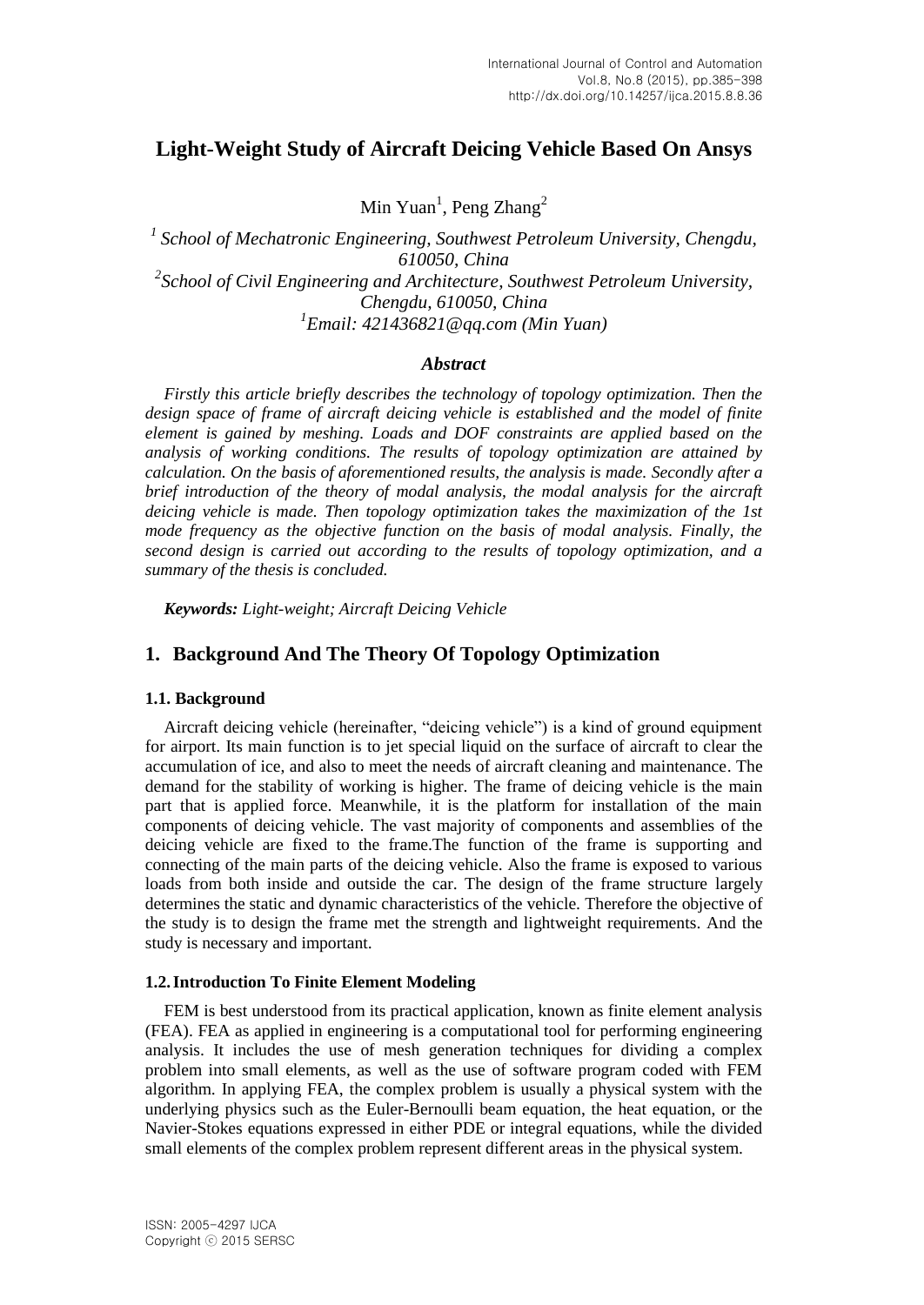# **Light-Weight Study of Aircraft Deicing Vehicle Based On Ansys**

Min Yuan<sup>1</sup>, Peng Zhang<sup>2</sup>

<sup>1</sup> School of Mechatronic *Engineering, Southwest Petroleum University, Chengdu, 610050, China 2 School of Civil Engineering and Architecture, Southwest Petroleum University, Chengdu, 610050, China 1 Email: 421436821@qq.com (Min Yuan)*

## *Abstract*

*Firstly this article briefly describes the technology of topology optimization. Then the design space of frame of aircraft deicing vehicle is established and the model of finite element is gained by meshing. Loads and DOF constraints are applied based on the analysis of working conditions. The results of topology optimization are attained by calculation. On the basis of aforementioned results, the analysis is made. Secondly after a brief introduction of the theory of modal analysis, the modal analysis for the aircraft deicing vehicle is made. Then topology optimization takes the maximization of the 1st mode frequency as the objective function on the basis of modal analysis. Finally, the second design is carried out according to the results of topology optimization, and a summary of the thesis is concluded.*

*Keywords: Light-weight; Aircraft Deicing Vehicle*

## **1. Background And The Theory Of Topology Optimization**

#### **1.1. Background**

Aircraft deicing vehicle (hereinafter, "deicing vehicle") is a kind of ground equipment for airport. Its main function is to jet special liquid on the surface of aircraft to clear the accumulation of ice, and also to meet the needs of aircraft cleaning and maintenance. The demand for the stability of working is higher. The frame of deicing vehicle is the main part that is applied force. Meanwhile, it is the platform for installation of the main components of deicing vehicle. The vast majority of components and assemblies of the deicing vehicle are fixed to the frame.The function of the frame is supporting and connecting of the main parts of the deicing vehicle. Also the frame is exposed to various loads from both inside and outside the car. The design of the frame structure largely determines the static and dynamic characteristics of the vehicle. Therefore the objective of the study is to design the frame met the strength and lightweight requirements. And the study is necessary and important.

#### **1.2.Introduction To Finite Element Modeling**

FEM is best understood from its practical application, known as finite element analysis (FEA). FEA as applied in engineering is a computational tool for performing engineering analysis. It includes the use of mesh generation techniques for dividing a complex problem into small elements, as well as the use of software program coded with FEM algorithm. In applying FEA, the complex problem is usually a physical system with the underlying physics such as the Euler-Bernoulli beam equation, the heat equation, or the Navier-Stokes equations expressed in either PDE or integral equations, while the divided small elements of the complex problem represent different areas in the physical system.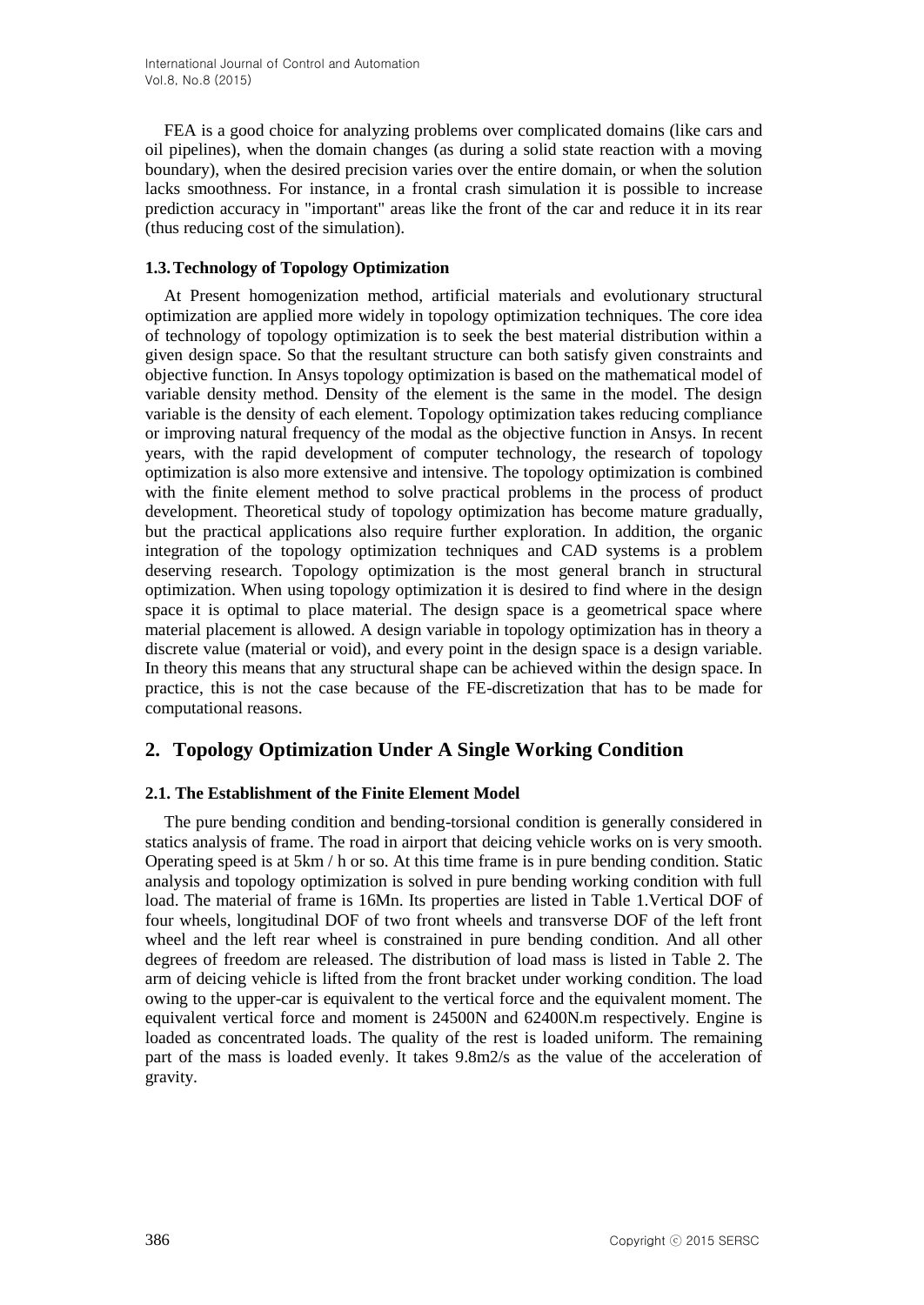FEA is a good choice for analyzing problems over complicated domains (like cars and oil pipelines), when the domain changes (as during a solid state reaction with a moving boundary), when the desired precision varies over the entire domain, or when the solution lacks smoothness. For instance, in a frontal crash simulation it is possible to increase prediction accuracy in "important" areas like the front of the car and reduce it in its rear (thus reducing cost of the simulation).

## **1.3.Technology of Topology Optimization**

At Present homogenization method, artificial materials and evolutionary structural optimization are applied more widely in topology optimization techniques. The core idea of technology of topology optimization is to seek the best material distribution within a given design space. So that the resultant structure can both satisfy given constraints and objective function. In Ansys topology optimization is based on the mathematical model of variable density method. Density of the element is the same in the model. The design variable is the density of each element. Topology optimization takes reducing compliance or improving natural frequency of the modal as the objective function in Ansys. In recent years, with the rapid development of computer technology, the research of topology optimization is also more extensive and intensive. The topology optimization is combined with the finite element method to solve practical problems in the process of product development. Theoretical study of topology optimization has become mature gradually, but the practical applications also require further exploration. In addition, the organic integration of the topology optimization techniques and CAD systems is a problem deserving research. Topology optimization is the most general branch in structural optimization. When using topology optimization it is desired to find where in the design space it is optimal to place material. The design space is a geometrical space where material placement is allowed. A design variable in topology optimization has in theory a discrete value (material or void), and every point in the design space is a design variable. In theory this means that any structural shape can be achieved within the design space. In practice, this is not the case because of the FE-discretization that has to be made for computational reasons.

## **2. Topology Optimization Under A Single Working Condition**

## **2.1. The Establishment of the Finite Element Model**

The pure bending condition and bending-torsional condition is generally considered in statics analysis of frame. The road in airport that deicing vehicle works on is very smooth. Operating speed is at 5km / h or so. At this time frame is in pure bending condition. Static analysis and topology optimization is solved in pure bending working condition with full load. The material of frame is 16Mn. Its properties are listed in Table 1.Vertical DOF of four wheels, longitudinal DOF of two front wheels and transverse DOF of the left front wheel and the left rear wheel is constrained in pure bending condition. And all other degrees of freedom are released. The distribution of load mass is listed in Table 2. The arm of deicing vehicle is lifted from the front bracket under working condition. The load owing to the upper-car is equivalent to the vertical force and the equivalent moment. The equivalent vertical force and moment is 24500N and 62400N.m respectively. Engine is loaded as concentrated loads. The quality of the rest is loaded uniform. The remaining part of the mass is loaded evenly. It takes 9.8m2/s as the value of the acceleration of gravity.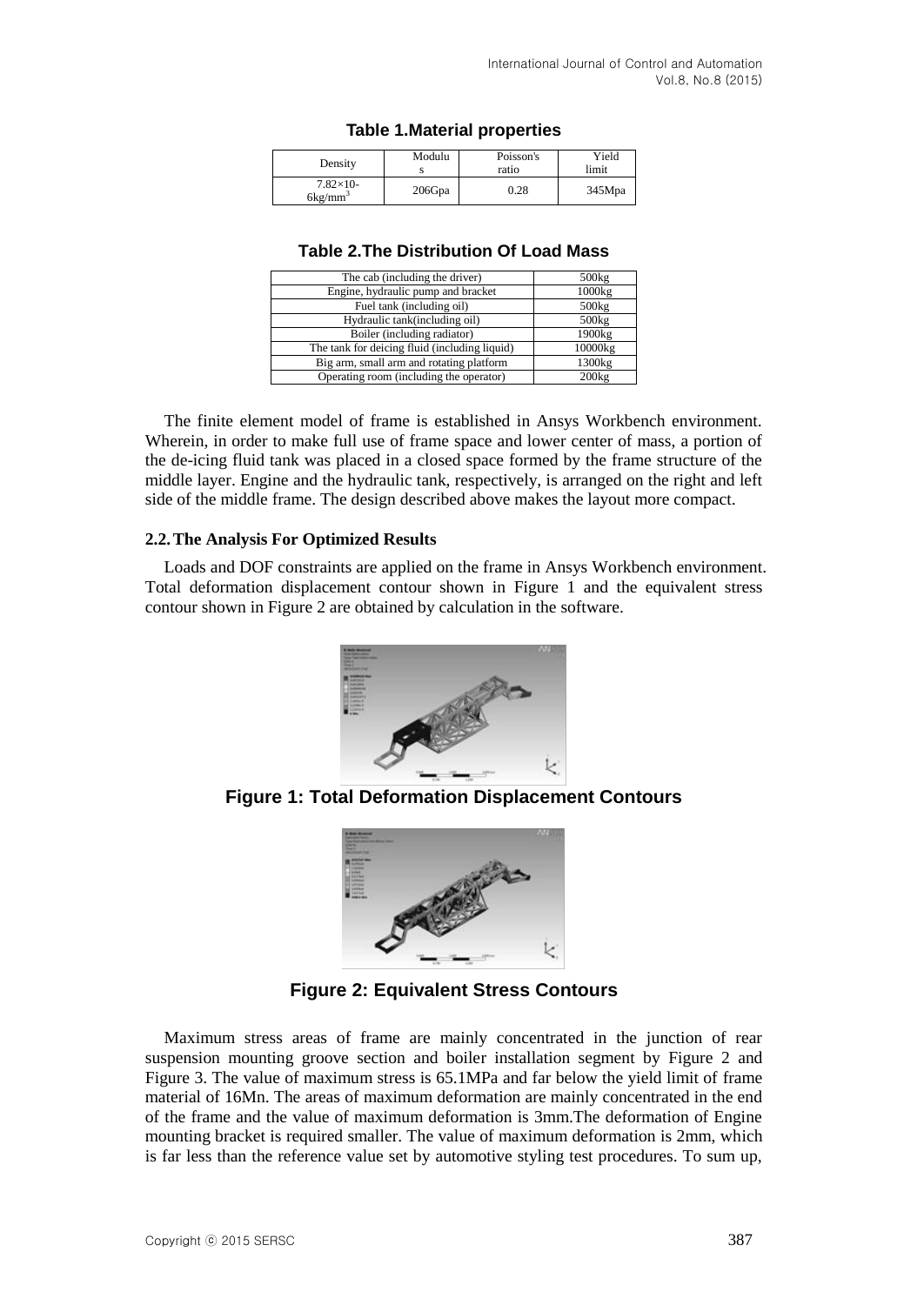## **Table 1.Material properties**

| Density                       | Modulu | Poisson's<br>ratio | Yield<br>limit |
|-------------------------------|--------|--------------------|----------------|
| $7.82\times10-$<br>$6kg/mm^3$ | 206Gpa | $_{0.28}$          | 345Mpa         |

#### **Table 2.The Distribution Of Load Mass**

| The cab (including the driver)                | 500kg   |
|-----------------------------------------------|---------|
| Engine, hydraulic pump and bracket            | 1000kg  |
| Fuel tank (including oil)                     | 500kg   |
| Hydraulic tank(including oil)                 | 500kg   |
| Boiler (including radiator)                   | 1900kg  |
| The tank for deicing fluid (including liquid) | 10000kg |
| Big arm, small arm and rotating platform      | 1300kg  |
| Operating room (including the operator)       | 200kg   |

The finite element model of frame is established in Ansys Workbench environment. Wherein, in order to make full use of frame space and lower center of mass, a portion of the de-icing fluid tank was placed in a closed space formed by the frame structure of the middle layer. Engine and the hydraulic tank, respectively, is arranged on the right and left side of the middle frame. The design described above makes the layout more compact.

#### **2.2.The Analysis For Optimized Results**

Loads and DOF constraints are applied on the frame in Ansys Workbench environment. Total deformation displacement contour shown in Figure 1 and the equivalent stress contour shown in Figure 2 are obtained by calculation in the software.



**Figure 1: Total Deformation Displacement Contours**



**Figure 2: Equivalent Stress Contours**

Maximum stress areas of frame are mainly concentrated in the junction of rear suspension mounting groove section and boiler installation segment by Figure 2 and Figure 3. The value of maximum stress is 65.1MPa and far below the yield limit of frame material of 16Mn. The areas of maximum deformation are mainly concentrated in the end of the frame and the value of maximum deformation is 3mm.The deformation of Engine mounting bracket is required smaller. The value of maximum deformation is 2mm, which is far less than the reference value set by automotive styling test procedures. To sum up,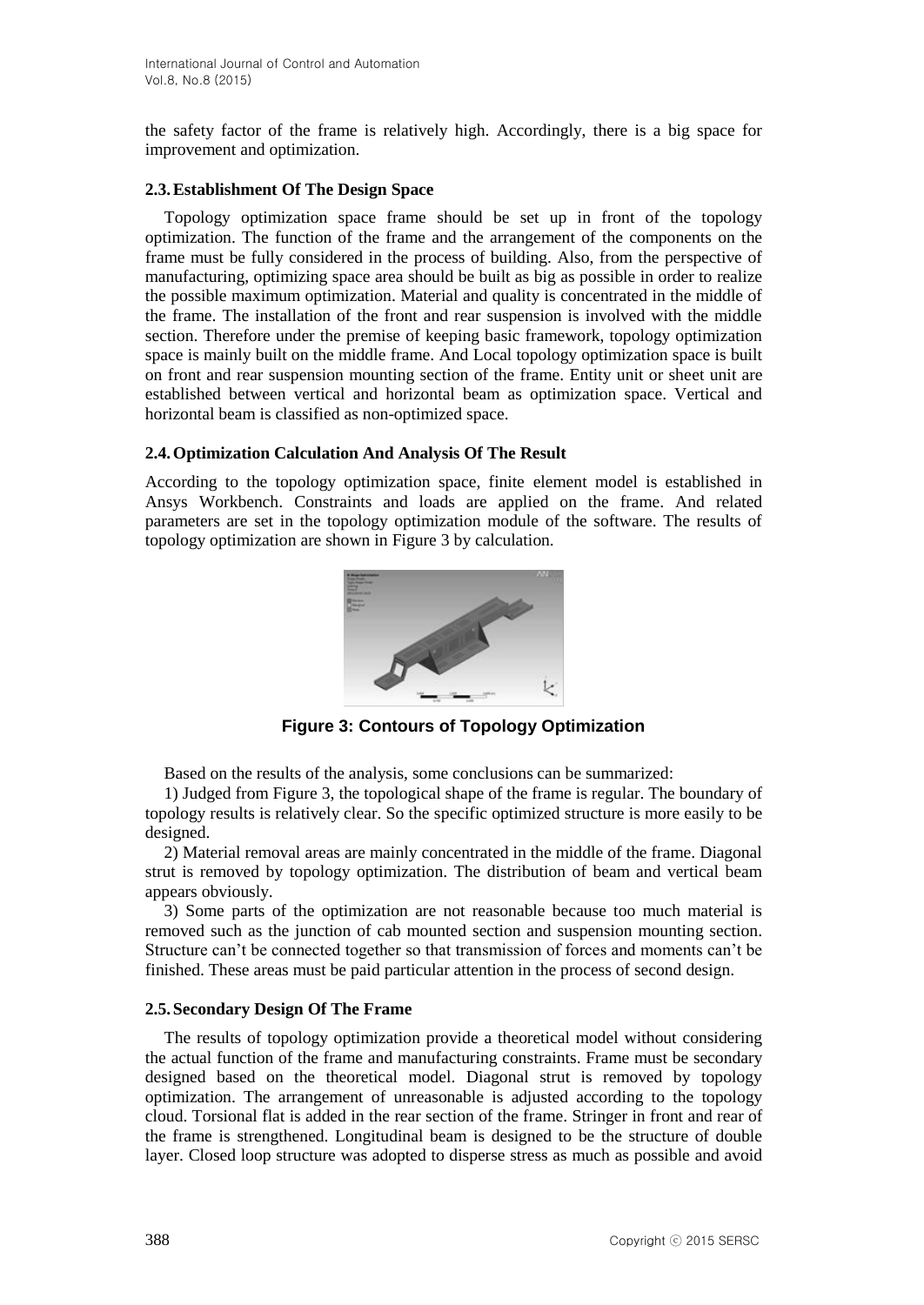the safety factor of the frame is relatively high. Accordingly, there is a big space for improvement and optimization.

### **2.3.Establishment Of The Design Space**

Topology optimization space frame should be set up in front of the topology optimization. The function of the frame and the arrangement of the components on the frame must be fully considered in the process of building. Also, from the perspective of manufacturing, optimizing space area should be built as big as possible in order to realize the possible maximum optimization. Material and quality is concentrated in the middle of the frame. The installation of the front and rear suspension is involved with the middle section. Therefore under the premise of keeping basic framework, topology optimization space is mainly built on the middle frame. And Local topology optimization space is built on front and rear suspension mounting section of the frame. Entity unit or sheet unit are established between vertical and horizontal beam as optimization space. Vertical and horizontal beam is classified as non-optimized space.

## **2.4.Optimization Calculation And Analysis Of The Result**

According to the topology optimization space, finite element model is established in Ansys Workbench. Constraints and loads are applied on the frame. And related parameters are set in the topology optimization module of the software. The results of topology optimization are shown in Figure 3 by calculation.



**Figure 3: Contours of Topology Optimization**

Based on the results of the analysis, some conclusions can be summarized:

1) Judged from Figure 3, the topological shape of the frame is regular. The boundary of topology results is relatively clear. So the specific optimized structure is more easily to be designed.

2) Material removal areas are mainly concentrated in the middle of the frame. Diagonal strut is removed by topology optimization. The distribution of beam and vertical beam appears obviously.

3) Some parts of the optimization are not reasonable because too much material is removed such as the junction of cab mounted section and suspension mounting section. Structure can't be connected together so that transmission of forces and moments can't be finished. These areas must be paid particular attention in the process of second design.

## **2.5.Secondary Design Of The Frame**

The results of topology optimization provide a theoretical model without considering the actual function of the frame and manufacturing constraints. Frame must be secondary designed based on the theoretical model. Diagonal strut is removed by topology optimization. The arrangement of unreasonable is adjusted according to the topology cloud. Torsional flat is added in the rear section of the frame. Stringer in front and rear of the frame is strengthened. Longitudinal beam is designed to be the structure of double layer. Closed loop structure was adopted to disperse stress as much as possible and avoid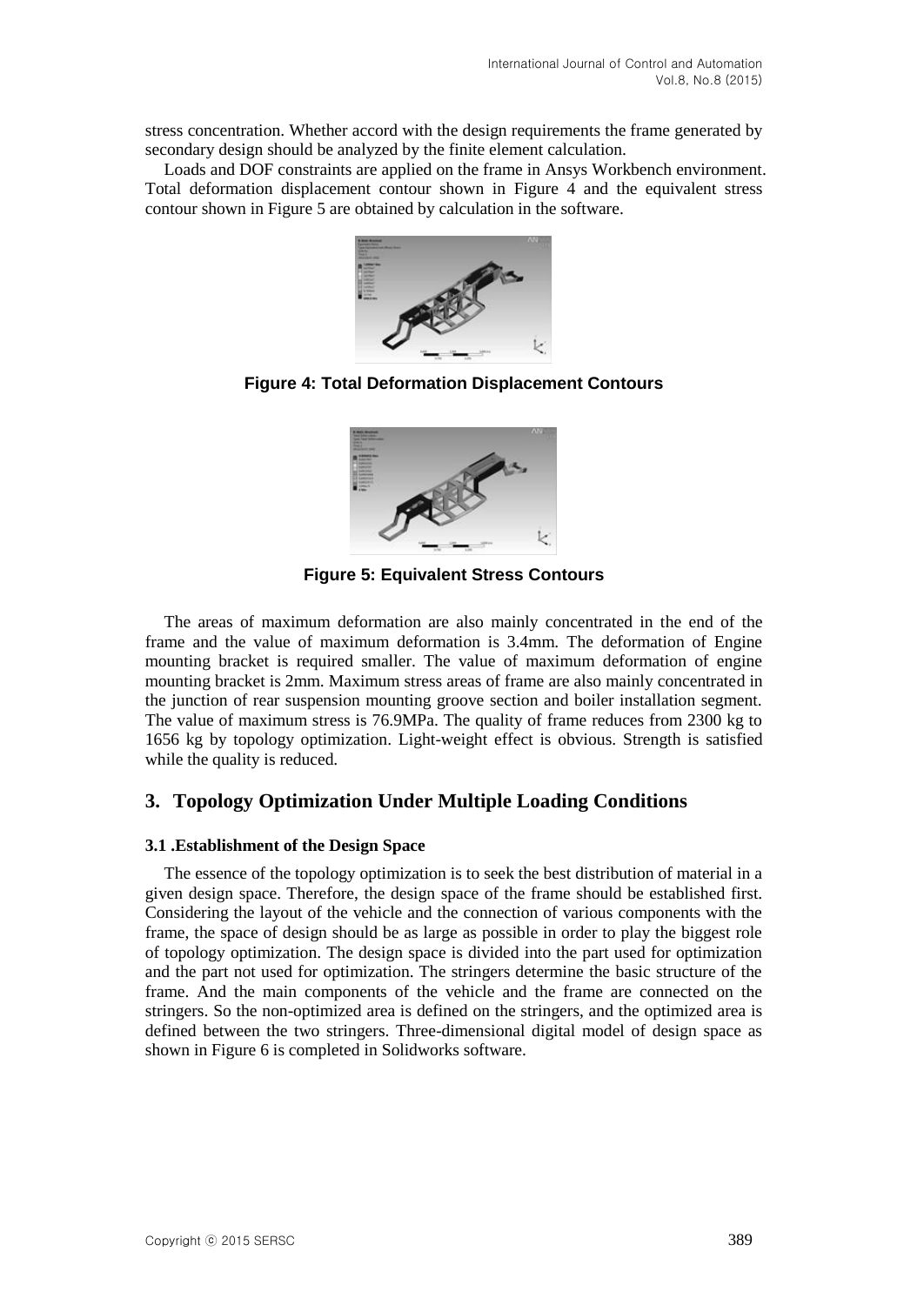stress concentration. Whether accord with the design requirements the frame generated by secondary design should be analyzed by the finite element calculation.

Loads and DOF constraints are applied on the frame in Ansys Workbench environment. Total deformation displacement contour shown in Figure 4 and the equivalent stress contour shown in Figure 5 are obtained by calculation in the software.



**Figure 4: Total Deformation Displacement Contours**



**Figure 5: Equivalent Stress Contours**

The areas of maximum deformation are also mainly concentrated in the end of the frame and the value of maximum deformation is 3.4mm. The deformation of Engine mounting bracket is required smaller. The value of maximum deformation of engine mounting bracket is 2mm. Maximum stress areas of frame are also mainly concentrated in the junction of rear suspension mounting groove section and boiler installation segment. The value of maximum stress is 76.9MPa. The quality of frame reduces from 2300 kg to 1656 kg by topology optimization. Light-weight effect is obvious. Strength is satisfied while the quality is reduced.

## **3. Topology Optimization Under Multiple Loading Conditions**

#### **3.1 .Establishment of the Design Space**

The essence of the topology optimization is to seek the best distribution of material in a given design space. Therefore, the design space of the frame should be established first. Considering the layout of the vehicle and the connection of various components with the frame, the space of design should be as large as possible in order to play the biggest role of topology optimization. The design space is divided into the part used for optimization and the part not used for optimization. The stringers determine the basic structure of the frame. And the main components of the vehicle and the frame are connected on the stringers. So the non-optimized area is defined on the stringers, and the optimized area is defined between the two stringers. Three-dimensional digital model of design space as shown in Figure 6 is completed in Solidworks software.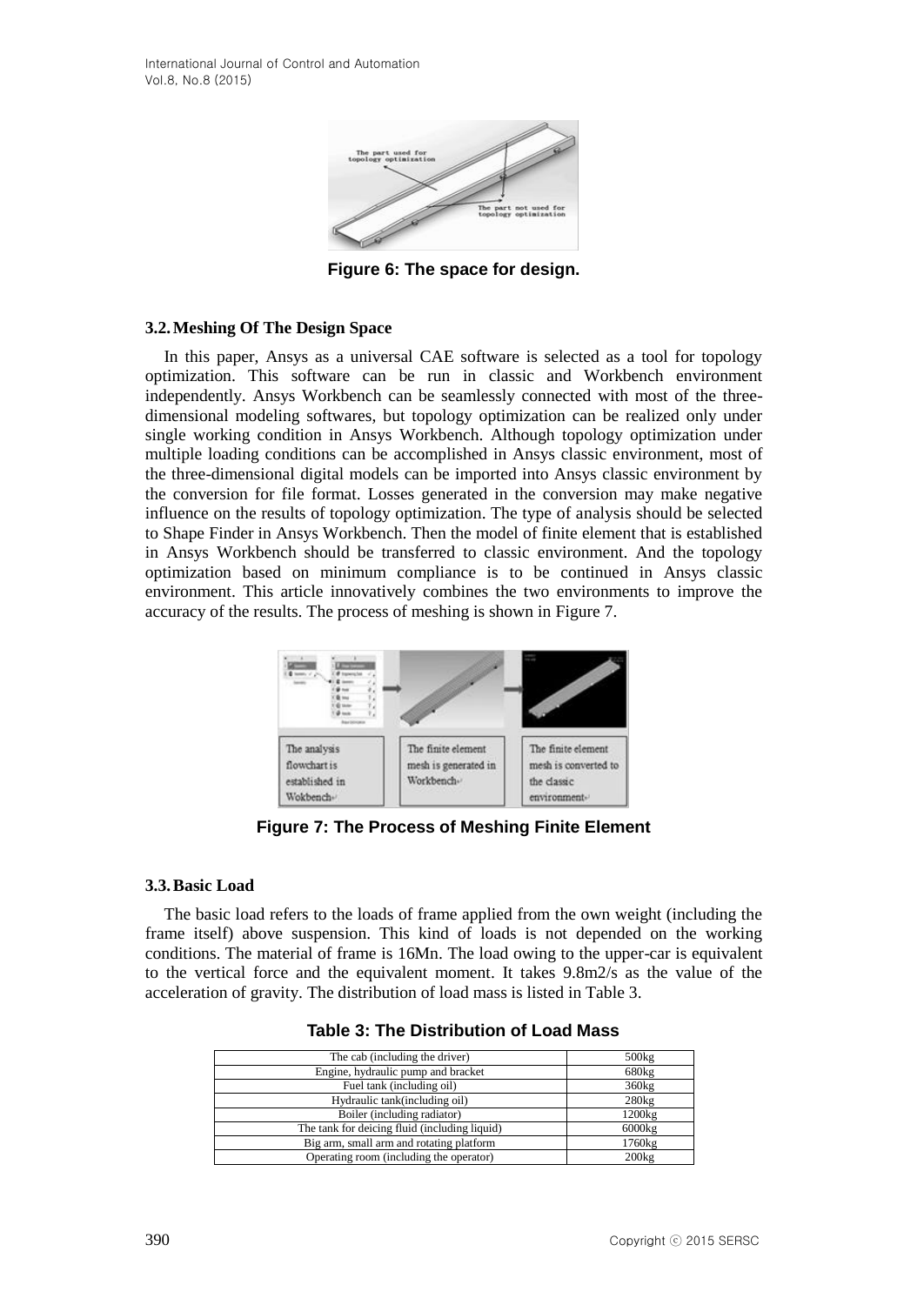

**Figure 6: The space for design.**

## **3.2.Meshing Of The Design Space**

In this paper, Ansys as a universal CAE software is selected as a tool for topology optimization. This software can be run in classic and Workbench environment independently. Ansys Workbench can be seamlessly connected with most of the threedimensional modeling softwares, but topology optimization can be realized only under single working condition in Ansys Workbench. Although topology optimization under multiple loading conditions can be accomplished in Ansys classic environment, most of the three-dimensional digital models can be imported into Ansys classic environment by the conversion for file format. Losses generated in the conversion may make negative influence on the results of topology optimization. The type of analysis should be selected to Shape Finder in Ansys Workbench. Then the model of finite element that is established in Ansys Workbench should be transferred to classic environment. And the topology optimization based on minimum compliance is to be continued in Ansys classic environment. This article innovatively combines the two environments to improve the accuracy of the results. The process of meshing is shown in Figure 7.



**Figure 7: The Process of Meshing Finite Element**

## **3.3.Basic Load**

The basic load refers to the loads of frame applied from the own weight (including the frame itself) above suspension. This kind of loads is not depended on the working conditions. The material of frame is 16Mn. The load owing to the upper-car is equivalent to the vertical force and the equivalent moment. It takes 9.8m2/s as the value of the acceleration of gravity. The distribution of load mass is listed in Table 3.

| The cab (including the driver)                | 500kg  |
|-----------------------------------------------|--------|
| Engine, hydraulic pump and bracket            | 680kg  |
| Fuel tank (including oil)                     | 360kg  |
| Hydraulic tank(including oil)                 | 280kg  |
| Boiler (including radiator)                   | 1200kg |
| The tank for deicing fluid (including liquid) | 6000kg |
| Big arm, small arm and rotating platform      | 1760kg |
| Operating room (including the operator)       | 200kg  |

#### **Table 3: The Distribution of Load Mass**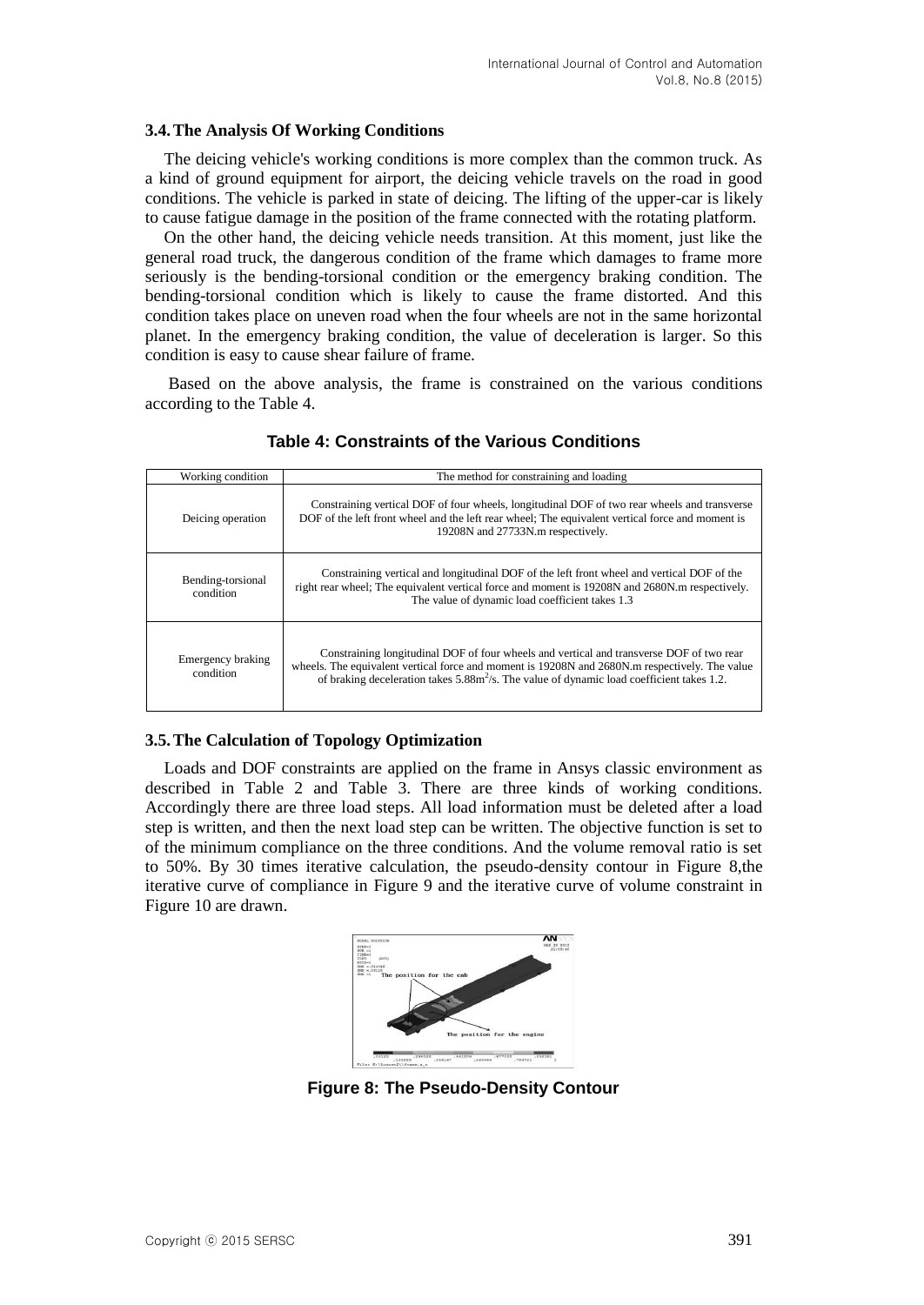#### **3.4.The Analysis Of Working Conditions**

The deicing vehicle's working conditions is more complex than the common truck. As a kind of ground equipment for airport, the deicing vehicle travels on the road in good conditions. The vehicle is parked in state of deicing. The lifting of the upper-car is likely to cause fatigue damage in the position of the frame connected with the rotating platform.

On the other hand, the deicing vehicle needs transition. At this moment, just like the general road truck, the dangerous condition of the frame which damages to frame more seriously is the bending-torsional condition or the emergency braking condition. The bending-torsional condition which is likely to cause the frame distorted. And this condition takes place on uneven road when the four wheels are not in the same horizontal planet. In the emergency braking condition, the value of deceleration is larger. So this condition is easy to cause shear failure of frame.

Based on the above analysis, the frame is constrained on the various conditions according to the Table 4.

| The method for constraining and loading<br>Working condition |                                                                                                                                                                                                                                                                                            |  |
|--------------------------------------------------------------|--------------------------------------------------------------------------------------------------------------------------------------------------------------------------------------------------------------------------------------------------------------------------------------------|--|
| Deicing operation                                            | Constraining vertical DOF of four wheels, longitudinal DOF of two rear wheels and transverse<br>DOF of the left front wheel and the left rear wheel; The equivalent vertical force and moment is<br>19208N and 27733N.m respectively.                                                      |  |
| Bending-torsional<br>condition                               | Constraining vertical and longitudinal DOF of the left front wheel and vertical DOF of the<br>right rear wheel; The equivalent vertical force and moment is 19208N and 2680N.m respectively.<br>The value of dynamic load coefficient takes 1.3                                            |  |
| Emergency braking<br>condition                               | Constraining longitudinal DOF of four wheels and vertical and transverse DOF of two rear<br>wheels. The equivalent vertical force and moment is 19208N and 2680N.m respectively. The value<br>of braking deceleration takes $5.88m^2/s$ . The value of dynamic load coefficient takes 1.2. |  |

## **Table 4: Constraints of the Various Conditions**

## **3.5.The Calculation of Topology Optimization**

Loads and DOF constraints are applied on the frame in Ansys classic environment as described in Table 2 and Table 3. There are three kinds of working conditions. Accordingly there are three load steps. All load information must be deleted after a load step is written, and then the next load step can be written. The objective function is set to of the minimum compliance on the three conditions. And the volume removal ratio is set to 50%. By 30 times iterative calculation, the pseudo-density contour in Figure 8,the iterative curve of compliance in Figure 9 and the iterative curve of volume constraint in Figure 10 are drawn.



**Figure 8: The Pseudo-Density Contour**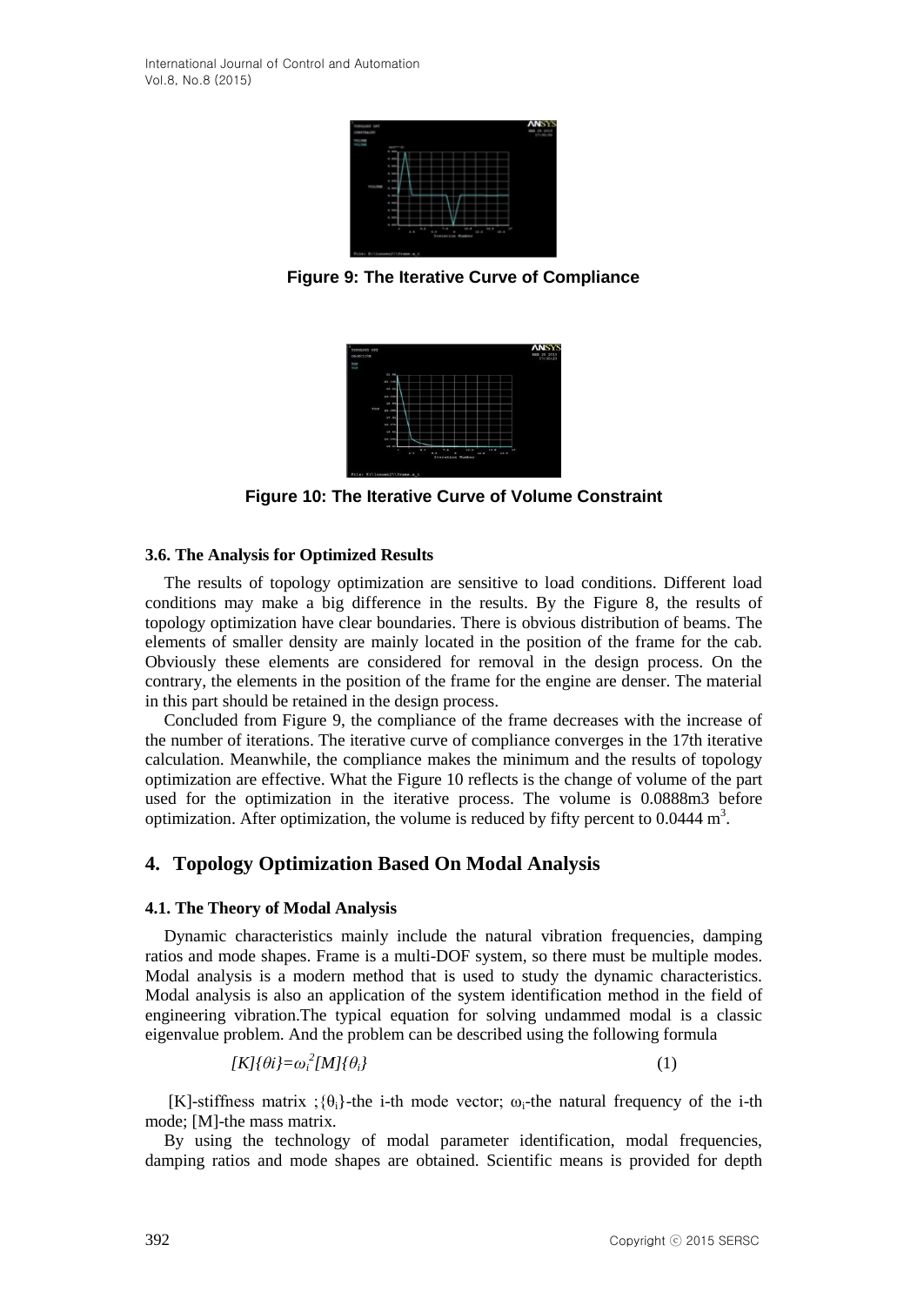

**Figure 9: The Iterative Curve of Compliance**



**Figure 10: The Iterative Curve of Volume Constraint**

## **3.6. The Analysis for Optimized Results**

The results of topology optimization are sensitive to load conditions. Different load conditions may make a big difference in the results. By the Figure 8, the results of topology optimization have clear boundaries. There is obvious distribution of beams. The elements of smaller density are mainly located in the position of the frame for the cab. Obviously these elements are considered for removal in the design process. On the contrary, the elements in the position of the frame for the engine are denser. The material in this part should be retained in the design process.

Concluded from Figure 9, the compliance of the frame decreases with the increase of the number of iterations. The iterative curve of compliance converges in the 17th iterative calculation. Meanwhile, the compliance makes the minimum and the results of topology optimization are effective. What the Figure 10 reflects is the change of volume of the part used for the optimization in the iterative process. The volume is 0.0888m3 before optimization. After optimization, the volume is reduced by fifty percent to  $0.0444 \text{ m}^3$ .

## **4. Topology Optimization Based On Modal Analysis**

## **4.1. The Theory of Modal Analysis**

Dynamic characteristics mainly include the natural vibration frequencies, damping ratios and mode shapes. Frame is a multi-DOF system, so there must be multiple modes. Modal analysis is a modern method that is used to study the dynamic characteristics. Modal analysis is also an application of the system identification method in the field of engineering vibration.The typical equation for solving undammed modal is a classic eigenvalue problem. And the problem can be described using the following formula

$$
[K]{\theta i} = \omega_i^2 [M]{\theta_i}
$$
 (1)

[K]-stiffness matrix ; $\{\theta_i\}$ -the i-th mode vector;  $\omega_i$ -the natural frequency of the i-th mode; [M]-the mass matrix.

By using the technology of modal parameter identification, modal frequencies, damping ratios and mode shapes are obtained. Scientific means is provided for depth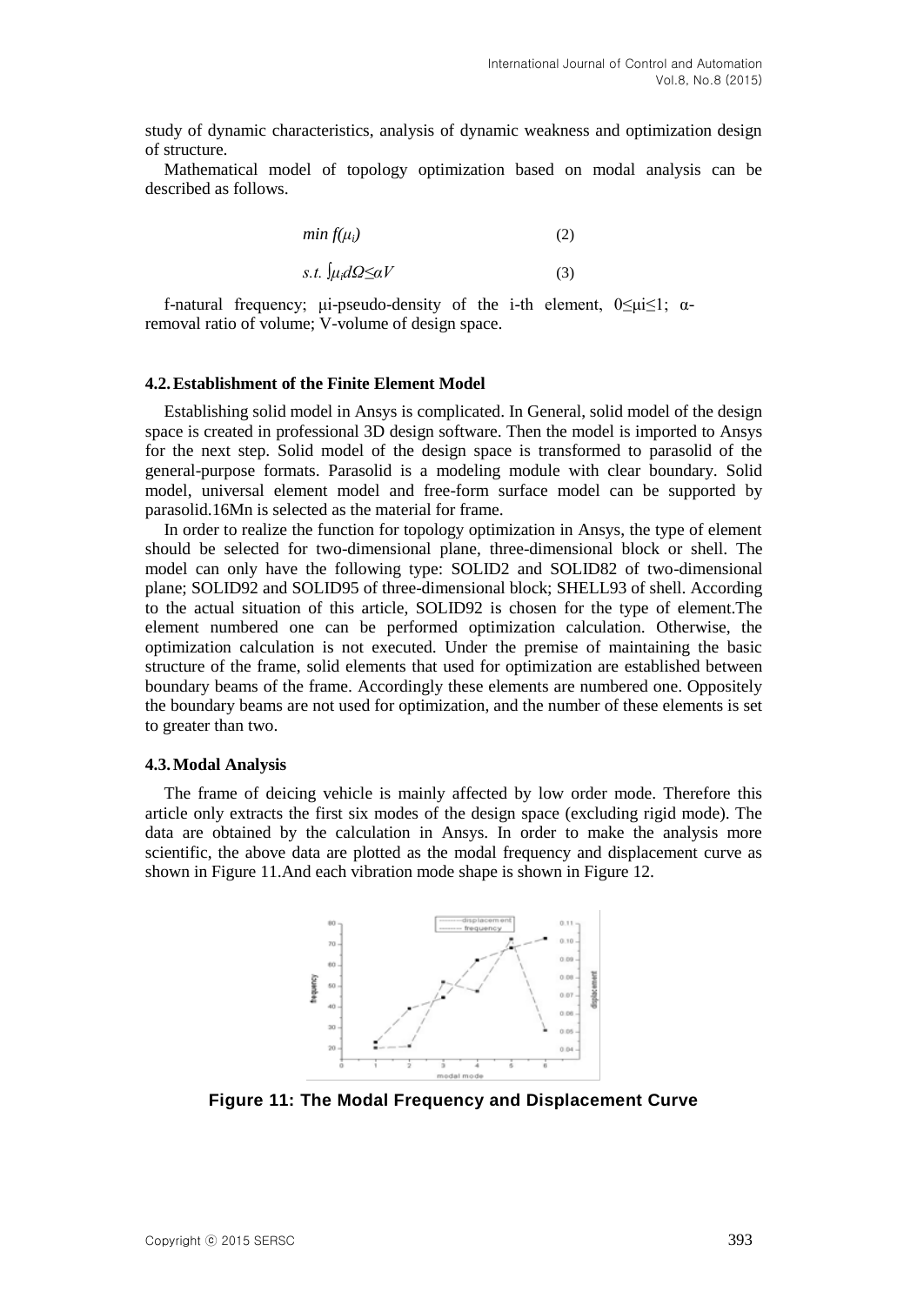study of dynamic characteristics, analysis of dynamic weakness and optimization design of structure.

Mathematical model of topology optimization based on modal analysis can be described as follows.

$$
\min f(\mu_i) \tag{2}
$$
  
s.t.  $\int \mu_i d\Omega \leq \alpha V$  (3)

f-natural frequency; μi-pseudo-density of the i-th element,  $0 \le \mu \le 1$ ;  $\alpha$ removal ratio of volume; V-volume of design space.

#### **4.2.Establishment of the Finite Element Model**

Establishing solid model in Ansys is complicated. In General, solid model of the design space is created in professional 3D design software. Then the model is imported to Ansys for the next step. Solid model of the design space is transformed to parasolid of the general-purpose formats. Parasolid is a modeling module with clear boundary. Solid model, universal element model and free-form surface model can be supported by parasolid.16Mn is selected as the material for frame.

In order to realize the function for topology optimization in Ansys, the type of element should be selected for two-dimensional plane, three-dimensional block or shell. The model can only have the following type: SOLID2 and SOLID82 of two-dimensional plane; SOLID92 and SOLID95 of three-dimensional block; SHELL93 of shell. According to the actual situation of this article, SOLID92 is chosen for the type of element.The element numbered one can be performed optimization calculation. Otherwise, the optimization calculation is not executed. Under the premise of maintaining the basic structure of the frame, solid elements that used for optimization are established between boundary beams of the frame. Accordingly these elements are numbered one. Oppositely the boundary beams are not used for optimization, and the number of these elements is set to greater than two.

#### **4.3.Modal Analysis**

The frame of deicing vehicle is mainly affected by low order mode. Therefore this article only extracts the first six modes of the design space (excluding rigid mode). The data are obtained by the calculation in Ansys. In order to make the analysis more scientific, the above data are plotted as the modal frequency and displacement curve as shown in Figure 11.And each vibration mode shape is shown in Figure 12.



**Figure 11: The Modal Frequency and Displacement Curve**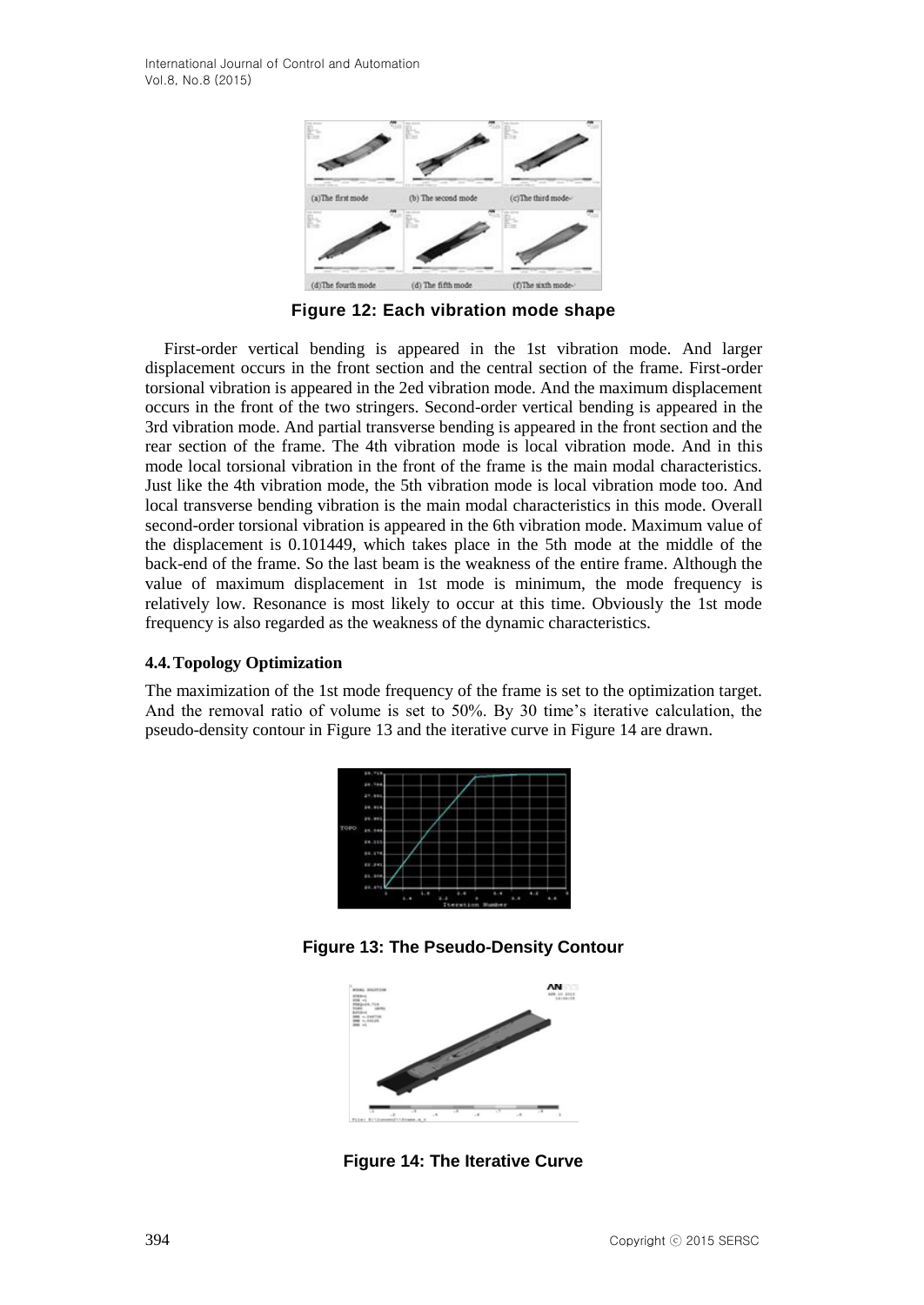

**Figure 12: Each vibration mode shape**

First-order vertical bending is appeared in the 1st vibration mode. And larger displacement occurs in the front section and the central section of the frame. First-order torsional vibration is appeared in the 2ed vibration mode. And the maximum displacement occurs in the front of the two stringers. Second-order vertical bending is appeared in the 3rd vibration mode. And partial transverse bending is appeared in the front section and the rear section of the frame. The 4th vibration mode is local vibration mode. And in this mode local torsional vibration in the front of the frame is the main modal characteristics. Just like the 4th vibration mode, the 5th vibration mode is local vibration mode too. And local transverse bending vibration is the main modal characteristics in this mode. Overall second-order torsional vibration is appeared in the 6th vibration mode. Maximum value of the displacement is 0.101449, which takes place in the 5th mode at the middle of the back-end of the frame. So the last beam is the weakness of the entire frame. Although the value of maximum displacement in 1st mode is minimum, the mode frequency is relatively low. Resonance is most likely to occur at this time. Obviously the 1st mode frequency is also regarded as the weakness of the dynamic characteristics.

## **4.4.Topology Optimization**

The maximization of the 1st mode frequency of the frame is set to the optimization target. And the removal ratio of volume is set to 50%. By 30 time's iterative calculation, the pseudo-density contour in Figure 13 and the iterative curve in Figure 14 are drawn.

|      | 29.718      |        |                  |     |  |
|------|-------------|--------|------------------|-----|--|
|      | 28.988      |        |                  |     |  |
|      | 27.886      |        |                  |     |  |
|      | 24.916      |        |                  |     |  |
|      | 23.993      |        |                  |     |  |
| TOPO | 85.946      |        |                  |     |  |
|      | 24.113      |        |                  |     |  |
|      | 89.578      |        |                  |     |  |
|      | 88.891      |        |                  |     |  |
|      | 81.514      |        |                  |     |  |
|      | 89.879<br>٠ | ٠<br>٠ | ٠<br>٠           | 6.9 |  |
|      |             |        | Iteration Humber |     |  |

**Figure 13: The Pseudo-Density Contour**



**Figure 14: The Iterative Curve**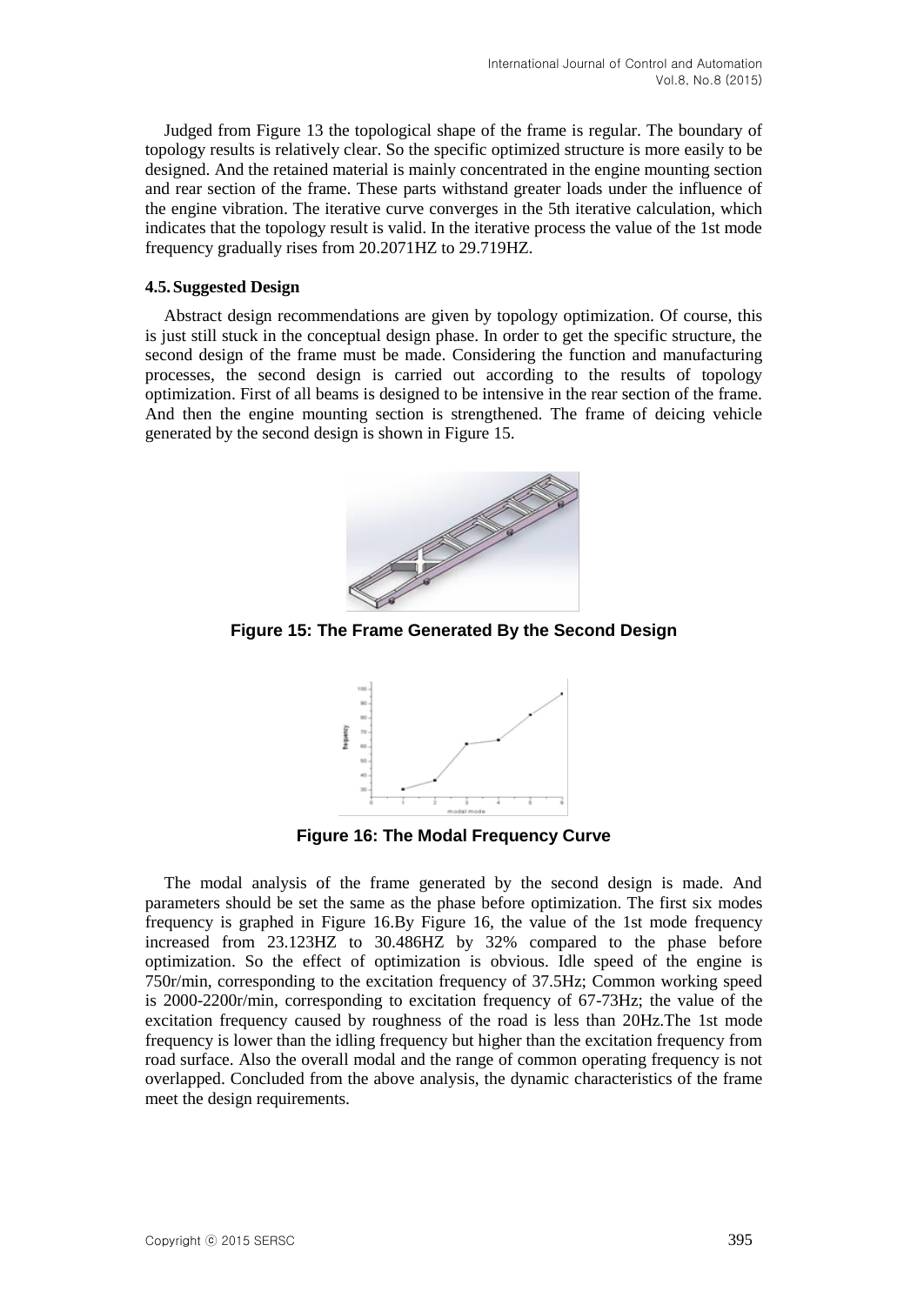Judged from Figure 13 the topological shape of the frame is regular. The boundary of topology results is relatively clear. So the specific optimized structure is more easily to be designed. And the retained material is mainly concentrated in the engine mounting section and rear section of the frame. These parts withstand greater loads under the influence of the engine vibration. The iterative curve converges in the 5th iterative calculation, which indicates that the topology result is valid. In the iterative process the value of the 1st mode frequency gradually rises from 20.2071HZ to 29.719HZ.

### **4.5.Suggested Design**

Abstract design recommendations are given by topology optimization. Of course, this is just still stuck in the conceptual design phase. In order to get the specific structure, the second design of the frame must be made. Considering the function and manufacturing processes, the second design is carried out according to the results of topology optimization. First of all beams is designed to be intensive in the rear section of the frame. And then the engine mounting section is strengthened. The frame of deicing vehicle generated by the second design is shown in Figure 15.



**Figure 15: The Frame Generated By the Second Design**



**Figure 16: The Modal Frequency Curve**

The modal analysis of the frame generated by the second design is made. And parameters should be set the same as the phase before optimization. The first six modes frequency is graphed in Figure 16.By Figure 16, the value of the 1st mode frequency increased from 23.123HZ to 30.486HZ by 32% compared to the phase before optimization. So the effect of optimization is obvious. Idle speed of the engine is 750r/min, corresponding to the excitation frequency of 37.5Hz; Common working speed is 2000-2200r/min, corresponding to excitation frequency of 67-73Hz; the value of the excitation frequency caused by roughness of the road is less than 20Hz.The 1st mode frequency is lower than the idling frequency but higher than the excitation frequency from road surface. Also the overall modal and the range of common operating frequency is not overlapped. Concluded from the above analysis, the dynamic characteristics of the frame meet the design requirements.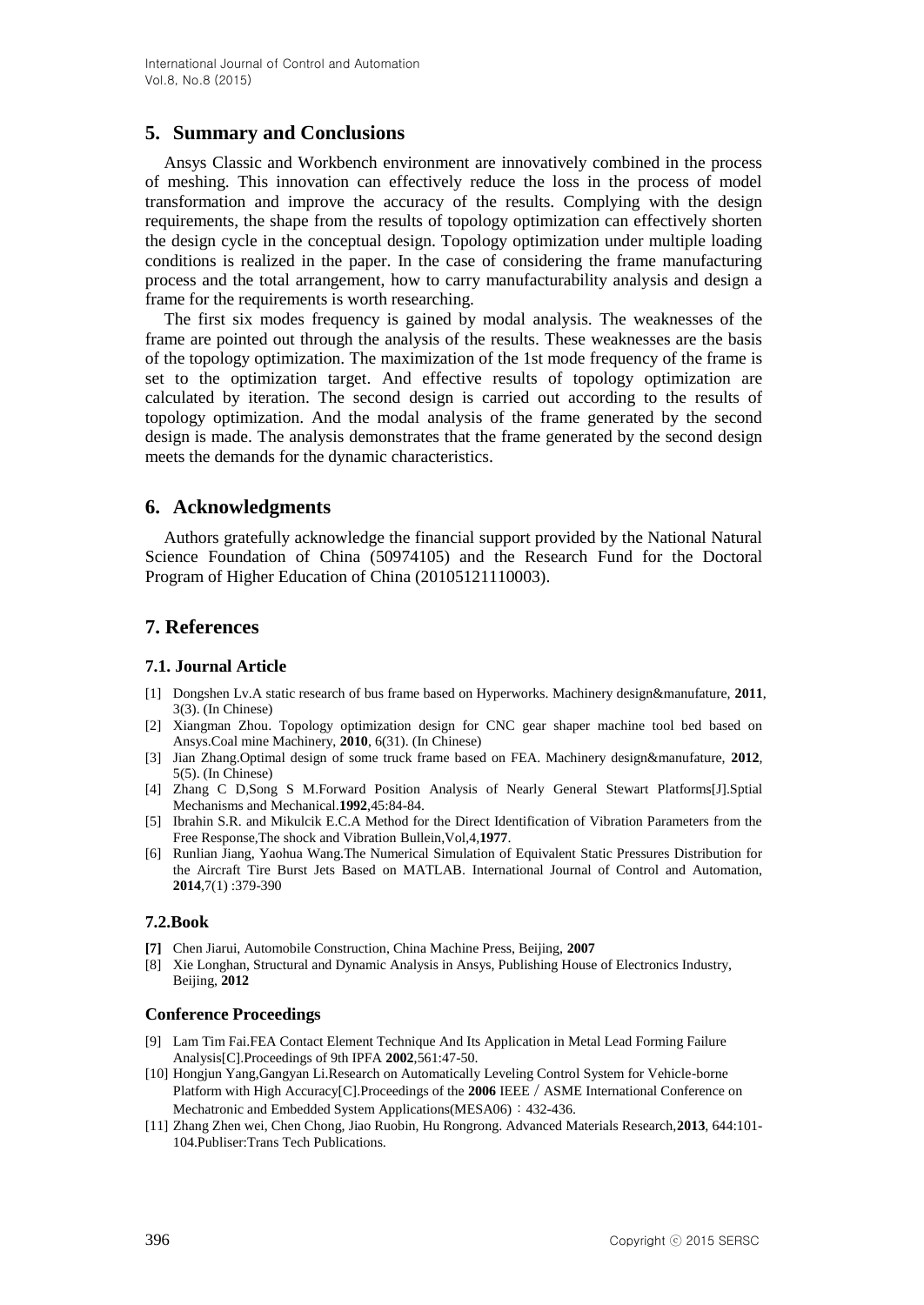## **5. Summary and Conclusions**

Ansys Classic and Workbench environment are innovatively combined in the process of meshing. This innovation can effectively reduce the loss in the process of model transformation and improve the accuracy of the results. Complying with the design requirements, the shape from the results of topology optimization can effectively shorten the design cycle in the conceptual design. Topology optimization under multiple loading conditions is realized in the paper. In the case of considering the frame manufacturing process and the total arrangement, how to carry manufacturability analysis and design a frame for the requirements is worth researching.

The first six modes frequency is gained by modal analysis. The weaknesses of the frame are pointed out through the analysis of the results. These weaknesses are the basis of the topology optimization. The maximization of the 1st mode frequency of the frame is set to the optimization target. And effective results of topology optimization are calculated by iteration. The second design is carried out according to the results of topology optimization. And the modal analysis of the frame generated by the second design is made. The analysis demonstrates that the frame generated by the second design meets the demands for the dynamic characteristics.

## **6. Acknowledgments**

Authors gratefully acknowledge the financial support provided by the National Natural Science Foundation of China (50974105) and the Research Fund for the Doctoral Program of Higher Education of China (20105121110003).

## **7. References**

#### **7.1. Journal Article**

- [1] Dongshen Lv.A static research of bus frame based on Hyperworks. Machinery design&manufature, **2011**, 3(3). (In Chinese)
- [2] Xiangman Zhou. Topology optimization design for CNC gear shaper machine tool bed based on Ansys.Coal mine Machinery, **2010**, 6(31). (In Chinese)
- [3] Jian Zhang.Optimal design of some truck frame based on FEA. Machinery design&manufature, **2012**, 5(5). (In Chinese)
- [4] Zhang C D,Song S M.Forward Position Analysis of Nearly General Stewart Platforms[J].Sptial Mechanisms and Mechanical.**1992**,45:84-84.
- [5] Ibrahin S.R. and Mikulcik E.C.A Method for the Direct Identification of Vibration Parameters from the Free Response,The shock and Vibration Bullein,Vol,4,**1977**.
- [6] Runlian Jiang, Yaohua Wang.The Numerical Simulation of Equivalent Static Pressures Distribution for the Aircraft Tire Burst Jets Based on MATLAB. International Journal of Control and Automation, **2014**,7(1) :379-390

#### **7.2.Book**

- **[7]** Chen Jiarui, Automobile Construction, China Machine Press, Beijing, **2007**
- [8] Xie Longhan, Structural and Dynamic Analysis in Ansys, Publishing House of Electronics Industry, Beijing, **2012**

#### **Conference Proceedings**

- [9] Lam Tim Fai.FEA Contact Element Technique And Its Application in Metal Lead Forming Failure Analysis[C].Proceedings of 9th IPFA **2002**,561:47-50.
- [10] Hongjun Yang,Gangyan Li.Research on Automatically Leveling Control System for Vehicle-borne Platform with High Accuracy[C].Proceedings of the 2006 IEEE / ASME International Conference on Mechatronic and Embedded System Applications(MESA06): 432-436.
- [11] Zhang Zhen wei, Chen Chong, Jiao Ruobin, Hu Rongrong. Advanced Materials Research,**2013**, 644:101- 104.Publiser:Trans Tech Publications.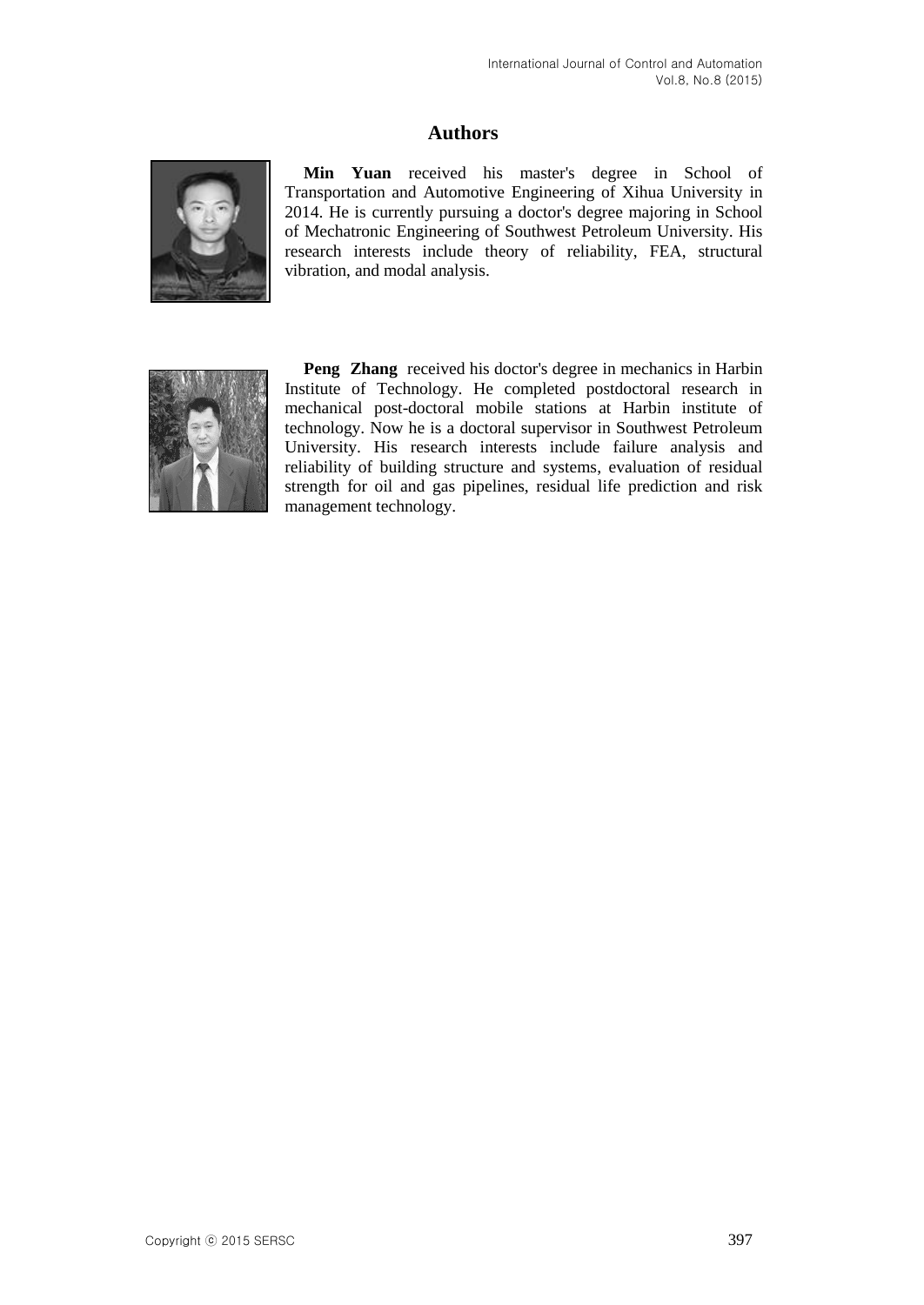# **Authors**



**Min Yuan** received his master's degree in School of Transportation and Automotive Engineering of Xihua University in 2014. He is currently pursuing a doctor's degree majoring in School of Mechatronic Engineering of Southwest Petroleum University. His research interests include theory of reliability, FEA, structural vibration, and modal analysis.



**Peng Zhang** received his doctor's degree in mechanics in Harbin Institute of Technology. He completed postdoctoral research in mechanical post-doctoral mobile stations at Harbin institute of technology. Now he is a doctoral supervisor in Southwest Petroleum University. His research interests include failure analysis and reliability of building structure and systems, evaluation of residual strength for oil and gas pipelines, residual life prediction and risk management technology.